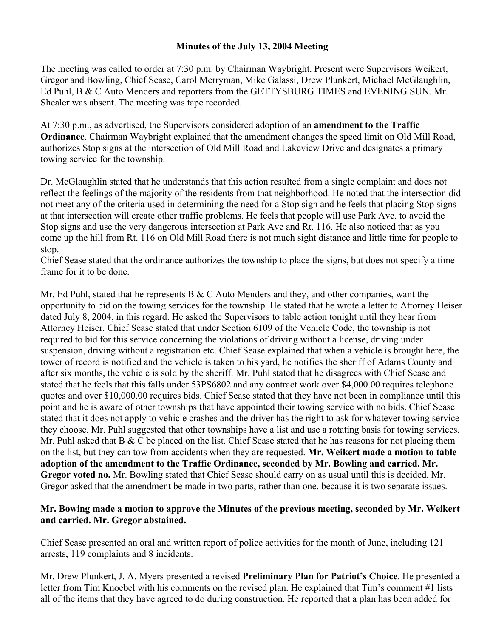## **Minutes of the July 13, 2004 Meeting**

The meeting was called to order at 7:30 p.m. by Chairman Waybright. Present were Supervisors Weikert, Gregor and Bowling, Chief Sease, Carol Merryman, Mike Galassi, Drew Plunkert, Michael McGlaughlin, Ed Puhl, B & C Auto Menders and reporters from the GETTYSBURG TIMES and EVENING SUN. Mr. Shealer was absent. The meeting was tape recorded.

At 7:30 p.m., as advertised, the Supervisors considered adoption of an **amendment to the Traffic Ordinance**. Chairman Waybright explained that the amendment changes the speed limit on Old Mill Road, authorizes Stop signs at the intersection of Old Mill Road and Lakeview Drive and designates a primary towing service for the township.

Dr. McGlaughlin stated that he understands that this action resulted from a single complaint and does not reflect the feelings of the majority of the residents from that neighborhood. He noted that the intersection did not meet any of the criteria used in determining the need for a Stop sign and he feels that placing Stop signs at that intersection will create other traffic problems. He feels that people will use Park Ave. to avoid the Stop signs and use the very dangerous intersection at Park Ave and Rt. 116. He also noticed that as you come up the hill from Rt. 116 on Old Mill Road there is not much sight distance and little time for people to stop.

Chief Sease stated that the ordinance authorizes the township to place the signs, but does not specify a time frame for it to be done.

Mr. Ed Puhl, stated that he represents B & C Auto Menders and they, and other companies, want the opportunity to bid on the towing services for the township. He stated that he wrote a letter to Attorney Heiser dated July 8, 2004, in this regard. He asked the Supervisors to table action tonight until they hear from Attorney Heiser. Chief Sease stated that under Section 6109 of the Vehicle Code, the township is not required to bid for this service concerning the violations of driving without a license, driving under suspension, driving without a registration etc. Chief Sease explained that when a vehicle is brought here, the tower of record is notified and the vehicle is taken to his yard, he notifies the sheriff of Adams County and after six months, the vehicle is sold by the sheriff. Mr. Puhl stated that he disagrees with Chief Sease and stated that he feels that this falls under 53PS6802 and any contract work over \$4,000.00 requires telephone quotes and over \$10,000.00 requires bids. Chief Sease stated that they have not been in compliance until this point and he is aware of other townships that have appointed their towing service with no bids. Chief Sease stated that it does not apply to vehicle crashes and the driver has the right to ask for whatever towing service they choose. Mr. Puhl suggested that other townships have a list and use a rotating basis for towing services. Mr. Puhl asked that B & C be placed on the list. Chief Sease stated that he has reasons for not placing them on the list, but they can tow from accidents when they are requested. **Mr. Weikert made a motion to table adoption of the amendment to the Traffic Ordinance, seconded by Mr. Bowling and carried. Mr. Gregor voted no.** Mr. Bowling stated that Chief Sease should carry on as usual until this is decided. Mr. Gregor asked that the amendment be made in two parts, rather than one, because it is two separate issues.

## **Mr. Bowing made a motion to approve the Minutes of the previous meeting, seconded by Mr. Weikert and carried. Mr. Gregor abstained.**

Chief Sease presented an oral and written report of police activities for the month of June, including 121 arrests, 119 complaints and 8 incidents.

Mr. Drew Plunkert, J. A. Myers presented a revised **Preliminary Plan for Patriot's Choice**. He presented a letter from Tim Knoebel with his comments on the revised plan. He explained that Tim's comment #1 lists all of the items that they have agreed to do during construction. He reported that a plan has been added for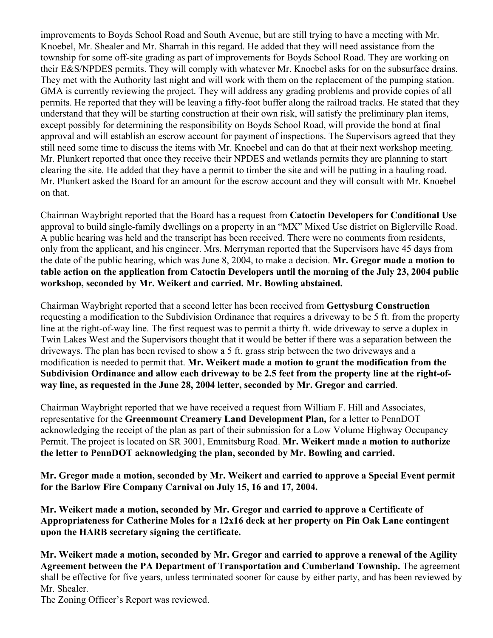improvements to Boyds School Road and South Avenue, but are still trying to have a meeting with Mr. Knoebel, Mr. Shealer and Mr. Sharrah in this regard. He added that they will need assistance from the township for some off-site grading as part of improvements for Boyds School Road. They are working on their E&S/NPDES permits. They will comply with whatever Mr. Knoebel asks for on the subsurface drains. They met with the Authority last night and will work with them on the replacement of the pumping station. GMA is currently reviewing the project. They will address any grading problems and provide copies of all permits. He reported that they will be leaving a fifty-foot buffer along the railroad tracks. He stated that they understand that they will be starting construction at their own risk, will satisfy the preliminary plan items, except possibly for determining the responsibility on Boyds School Road, will provide the bond at final approval and will establish an escrow account for payment of inspections. The Supervisors agreed that they still need some time to discuss the items with Mr. Knoebel and can do that at their next workshop meeting. Mr. Plunkert reported that once they receive their NPDES and wetlands permits they are planning to start clearing the site. He added that they have a permit to timber the site and will be putting in a hauling road. Mr. Plunkert asked the Board for an amount for the escrow account and they will consult with Mr. Knoebel on that.

Chairman Waybright reported that the Board has a request from **Catoctin Developers for Conditional Use** approval to build single-family dwellings on a property in an "MX" Mixed Use district on Biglerville Road. A public hearing was held and the transcript has been received. There were no comments from residents, only from the applicant, and his engineer. Mrs. Merryman reported that the Supervisors have 45 days from the date of the public hearing, which was June 8, 2004, to make a decision. **Mr. Gregor made a motion to table action on the application from Catoctin Developers until the morning of the July 23, 2004 public workshop, seconded by Mr. Weikert and carried. Mr. Bowling abstained.** 

Chairman Waybright reported that a second letter has been received from **Gettysburg Construction** requesting a modification to the Subdivision Ordinance that requires a driveway to be 5 ft. from the property line at the right-of-way line. The first request was to permit a thirty ft. wide driveway to serve a duplex in Twin Lakes West and the Supervisors thought that it would be better if there was a separation between the driveways. The plan has been revised to show a 5 ft. grass strip between the two driveways and a modification is needed to permit that. **Mr. Weikert made a motion to grant the modification from the Subdivision Ordinance and allow each driveway to be 2.5 feet from the property line at the right-ofway line, as requested in the June 28, 2004 letter, seconded by Mr. Gregor and carried**.

Chairman Waybright reported that we have received a request from William F. Hill and Associates, representative for the **Greenmount Creamery Land Development Plan,** for a letter to PennDOT acknowledging the receipt of the plan as part of their submission for a Low Volume Highway Occupancy Permit. The project is located on SR 3001, Emmitsburg Road. **Mr. Weikert made a motion to authorize the letter to PennDOT acknowledging the plan, seconded by Mr. Bowling and carried.**

**Mr. Gregor made a motion, seconded by Mr. Weikert and carried to approve a Special Event permit for the Barlow Fire Company Carnival on July 15, 16 and 17, 2004.**

**Mr. Weikert made a motion, seconded by Mr. Gregor and carried to approve a Certificate of Appropriateness for Catherine Moles for a 12x16 deck at her property on Pin Oak Lane contingent upon the HARB secretary signing the certificate.** 

**Mr. Weikert made a motion, seconded by Mr. Gregor and carried to approve a renewal of the Agility Agreement between the PA Department of Transportation and Cumberland Township.** The agreement shall be effective for five years, unless terminated sooner for cause by either party, and has been reviewed by Mr. Shealer.

The Zoning Officer's Report was reviewed.